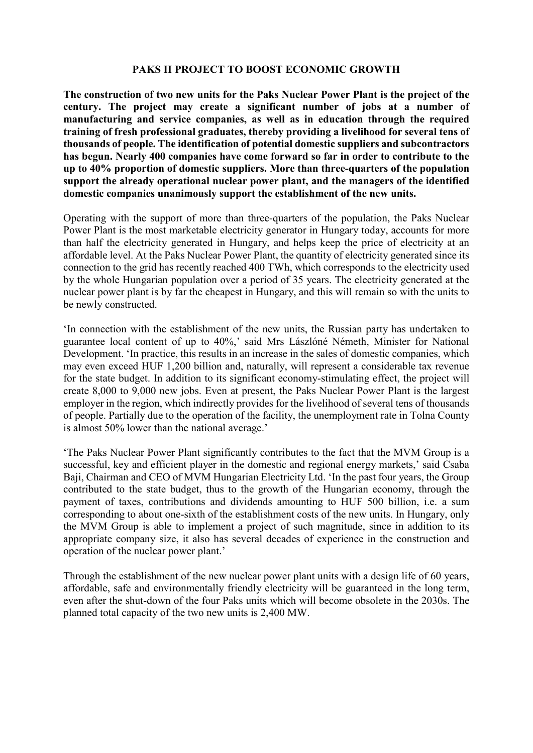## **PAKS II PROJECT TO BOOST ECONOMIC GROWTH**

**The construction of two new units for the Paks Nuclear Power Plant is the project of the century. The project may create a significant number of jobs at a number of manufacturing and service companies, as well as in education through the required training of fresh professional graduates, thereby providing a livelihood for several tens of thousands of people. The identification of potential domestic suppliers and subcontractors has begun. Nearly 400 companies have come forward so far in order to contribute to the up to 40% proportion of domestic suppliers. More than three-quarters of the population support the already operational nuclear power plant, and the managers of the identified domestic companies unanimously support the establishment of the new units.**

Operating with the support of more than three-quarters of the population, the Paks Nuclear Power Plant is the most marketable electricity generator in Hungary today, accounts for more than half the electricity generated in Hungary, and helps keep the price of electricity at an affordable level. At the Paks Nuclear Power Plant, the quantity of electricity generated since its connection to the grid has recently reached 400 TWh, which corresponds to the electricity used by the whole Hungarian population over a period of 35 years. The electricity generated at the nuclear power plant is by far the cheapest in Hungary, and this will remain so with the units to be newly constructed.

'In connection with the establishment of the new units, the Russian party has undertaken to guarantee local content of up to 40%,' said Mrs Lászlóné Németh, Minister for National Development. 'In practice, this results in an increase in the sales of domestic companies, which may even exceed HUF 1,200 billion and, naturally, will represent a considerable tax revenue for the state budget. In addition to its significant economy-stimulating effect, the project will create 8,000 to 9,000 new jobs. Even at present, the Paks Nuclear Power Plant is the largest employer in the region, which indirectly provides for the livelihood of several tens of thousands of people. Partially due to the operation of the facility, the unemployment rate in Tolna County is almost 50% lower than the national average.'

'The Paks Nuclear Power Plant significantly contributes to the fact that the MVM Group is a successful, key and efficient player in the domestic and regional energy markets,' said Csaba Baji, Chairman and CEO of MVM Hungarian Electricity Ltd. 'In the past four years, the Group contributed to the state budget, thus to the growth of the Hungarian economy, through the payment of taxes, contributions and dividends amounting to HUF 500 billion, i.e. a sum corresponding to about one-sixth of the establishment costs of the new units. In Hungary, only the MVM Group is able to implement a project of such magnitude, since in addition to its appropriate company size, it also has several decades of experience in the construction and operation of the nuclear power plant.'

Through the establishment of the new nuclear power plant units with a design life of 60 years, affordable, safe and environmentally friendly electricity will be guaranteed in the long term, even after the shut-down of the four Paks units which will become obsolete in the 2030s. The planned total capacity of the two new units is 2,400 MW.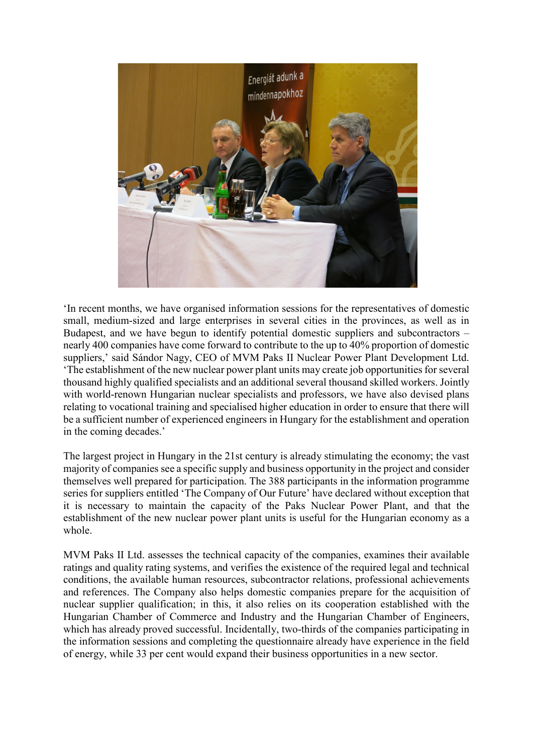

'In recent months, we have organised information sessions for the representatives of domestic small, medium-sized and large enterprises in several cities in the provinces, as well as in Budapest, and we have begun to identify potential domestic suppliers and subcontractors – nearly 400 companies have come forward to contribute to the up to 40% proportion of domestic suppliers,' said Sándor Nagy, CEO of MVM Paks II Nuclear Power Plant Development Ltd. 'The establishment of the new nuclear power plant units may create job opportunities for several thousand highly qualified specialists and an additional several thousand skilled workers. Jointly with world-renown Hungarian nuclear specialists and professors, we have also devised plans relating to vocational training and specialised higher education in order to ensure that there will be a sufficient number of experienced engineers in Hungary for the establishment and operation in the coming decades.'

The largest project in Hungary in the 21st century is already stimulating the economy; the vast majority of companies see a specific supply and business opportunity in the project and consider themselves well prepared for participation. The 388 participants in the information programme series for suppliers entitled 'The Company of Our Future' have declared without exception that it is necessary to maintain the capacity of the Paks Nuclear Power Plant, and that the establishment of the new nuclear power plant units is useful for the Hungarian economy as a whole.

MVM Paks II Ltd. assesses the technical capacity of the companies, examines their available ratings and quality rating systems, and verifies the existence of the required legal and technical conditions, the available human resources, subcontractor relations, professional achievements and references. The Company also helps domestic companies prepare for the acquisition of nuclear supplier qualification; in this, it also relies on its cooperation established with the Hungarian Chamber of Commerce and Industry and the Hungarian Chamber of Engineers, which has already proved successful. Incidentally, two-thirds of the companies participating in the information sessions and completing the questionnaire already have experience in the field of energy, while 33 per cent would expand their business opportunities in a new sector.